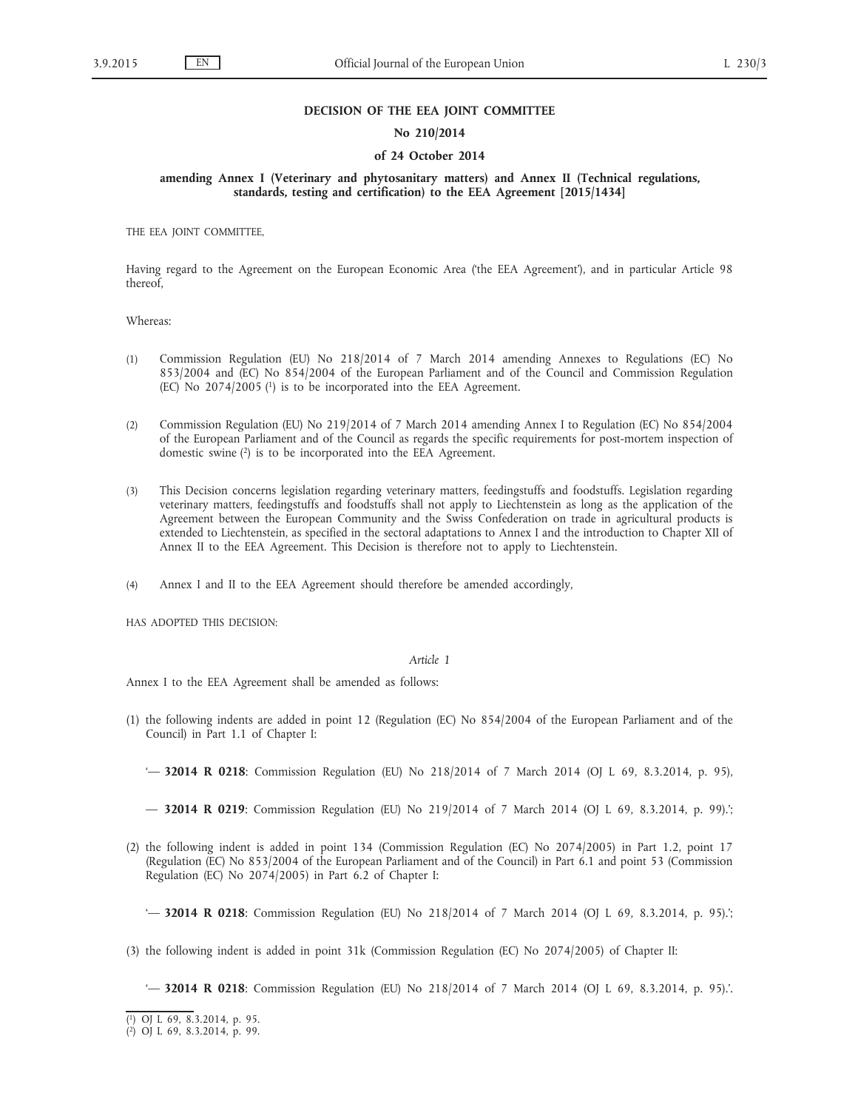#### **DECISION OF THE EEA JOINT COMMITTEE**

### **No 210/2014**

## **of 24 October 2014**

**amending Annex I (Veterinary and phytosanitary matters) and Annex II (Technical regulations, standards, testing and certification) to the EEA Agreement [2015/1434]**

THE EEA JOINT COMMITTEE,

Having regard to the Agreement on the European Economic Area ('the EEA Agreement'), and in particular Article 98 thereof,

Whereas:

- (1) Commission Regulation (EU) No 218/2014 of 7 March 2014 amending Annexes to Regulations (EC) No 853/2004 and (EC) No 854/2004 of the European Parliament and of the Council and Commission Regulation  $(EC)$  No 2074/2005 $(1)$  is to be incorporated into the EEA Agreement.
- (2) Commission Regulation (EU) No 219/2014 of 7 March 2014 amending Annex I to Regulation (EC) No 854/2004 of the European Parliament and of the Council as regards the specific requirements for post-mortem inspection of domestic swine (2) is to be incorporated into the EEA Agreement.
- (3) This Decision concerns legislation regarding veterinary matters, feedingstuffs and foodstuffs. Legislation regarding veterinary matters, feedingstuffs and foodstuffs shall not apply to Liechtenstein as long as the application of the Agreement between the European Community and the Swiss Confederation on trade in agricultural products is extended to Liechtenstein, as specified in the sectoral adaptations to Annex I and the introduction to Chapter XII of Annex II to the EEA Agreement. This Decision is therefore not to apply to Liechtenstein.
- (4) Annex I and II to the EEA Agreement should therefore be amended accordingly,

HAS ADOPTED THIS DECISION:

#### *Article 1*

Annex I to the EEA Agreement shall be amended as follows:

(1) the following indents are added in point 12 (Regulation (EC) No 854/2004 of the European Parliament and of the Council) in Part 1.1 of Chapter I:

— **32014 R 0219**: Commission Regulation (EU) No 219/2014 of 7 March 2014 (OJ L 69, 8.3.2014, p. 99).';

(2) the following indent is added in point 134 (Commission Regulation (EC) No 2074/2005) in Part 1.2, point 17 (Regulation (EC) No 853/2004 of the European Parliament and of the Council) in Part 6.1 and point 53 (Commission Regulation (EC) No 2074/2005) in Part 6.2 of Chapter I:

'— **32014 R 0218**: Commission Regulation (EU) No 218/2014 of 7 March 2014 (OJ L 69, 8.3.2014, p. 95).';

(3) the following indent is added in point 31k (Commission Regulation (EC) No 2074/2005) of Chapter II:

'— **32014 R 0218**: Commission Regulation (EU) No 218/2014 of 7 March 2014 (OJ L 69, 8.3.2014, p. 95).'.

<sup>&#</sup>x27;— **32014 R 0218**: Commission Regulation (EU) No 218/2014 of 7 March 2014 (OJ L 69, 8.3.2014, p. 95),

<sup>(</sup> 1) OJ L 69, 8.3.2014, p. 95.

<sup>(</sup> 2) OJ L 69, 8.3.2014, p. 99.